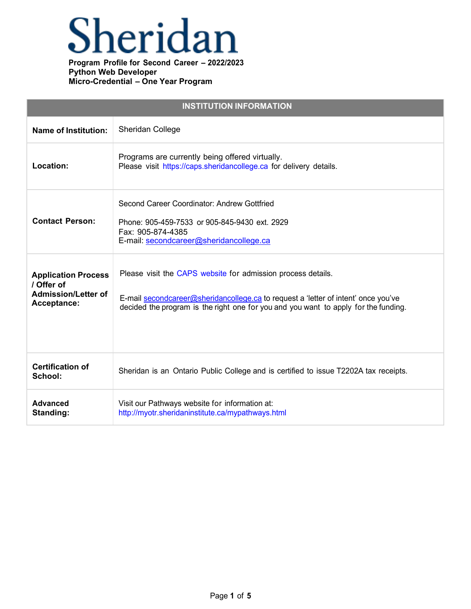## Sheridan

| <b>INSTITUTION INFORMATION</b>                                                        |                                                                                                                                                                                                                                           |  |
|---------------------------------------------------------------------------------------|-------------------------------------------------------------------------------------------------------------------------------------------------------------------------------------------------------------------------------------------|--|
| <b>Name of Institution:</b>                                                           | Sheridan College                                                                                                                                                                                                                          |  |
| Location:                                                                             | Programs are currently being offered virtually.<br>Please visit https://caps.sheridancollege.ca for delivery details.                                                                                                                     |  |
| <b>Contact Person:</b>                                                                | Second Career Coordinator: Andrew Gottfried<br>Phone: 905-459-7533 or 905-845-9430 ext. 2929<br>Fax: 905-874-4385<br>E-mail: secondcareer@sheridancollege.ca                                                                              |  |
| <b>Application Process</b><br>/ Offer of<br><b>Admission/Letter of</b><br>Acceptance: | Please visit the CAPS website for admission process details.<br>E-mail secondcareer@sheridancollege.ca to request a 'letter of intent' once you've<br>decided the program is the right one for you and you want to apply for the funding. |  |
| <b>Certification of</b><br>School:                                                    | Sheridan is an Ontario Public College and is certified to issue T2202A tax receipts.                                                                                                                                                      |  |
| <b>Advanced</b><br>Standing:                                                          | Visit our Pathways website for information at:<br>http://myotr.sheridaninstitute.ca/mypathways.html                                                                                                                                       |  |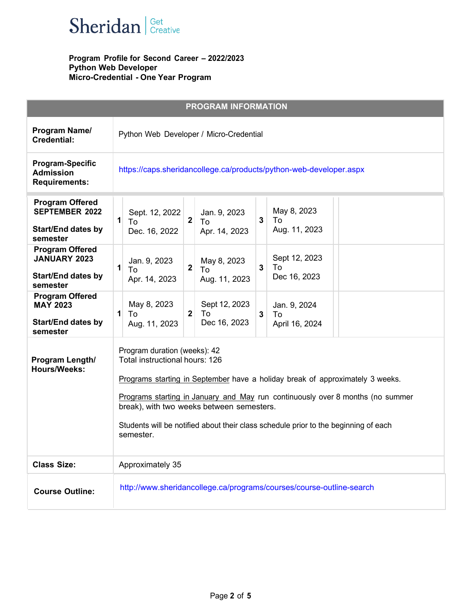

|                                                                                          | <b>PROGRAM INFORMATION</b>                                                                                                                                                                                                                                                                                                                                                         |
|------------------------------------------------------------------------------------------|------------------------------------------------------------------------------------------------------------------------------------------------------------------------------------------------------------------------------------------------------------------------------------------------------------------------------------------------------------------------------------|
| Program Name/<br><b>Credential:</b>                                                      | Python Web Developer / Micro-Credential                                                                                                                                                                                                                                                                                                                                            |
| <b>Program-Specific</b><br><b>Admission</b><br><b>Requirements:</b>                      | https://caps.sheridancollege.ca/products/python-web-developer.aspx                                                                                                                                                                                                                                                                                                                 |
| <b>Program Offered</b><br><b>SEPTEMBER 2022</b><br><b>Start/End dates by</b><br>semester | May 8, 2023<br>Jan. 9, 2023<br>Sept. 12, 2022<br>$\mathbf{1}$<br>$\overline{\mathbf{2}}$<br>$\mathbf{3}$<br>To<br>To<br>To<br>Aug. 11, 2023<br>Apr. 14, 2023<br>Dec. 16, 2022                                                                                                                                                                                                      |
| <b>Program Offered</b><br><b>JANUARY 2023</b><br><b>Start/End dates by</b><br>semester   | Sept 12, 2023<br>Jan. 9, 2023<br>May 8, 2023<br>$\mathbf{1}$<br>$\overline{\mathbf{2}}$<br>3<br>To<br>To<br>To<br>Dec 16, 2023<br>Apr. 14, 2023<br>Aug. 11, 2023                                                                                                                                                                                                                   |
| <b>Program Offered</b><br><b>MAY 2023</b><br><b>Start/End dates by</b><br>semester       | May 8, 2023<br>Sept 12, 2023<br>Jan. 9, 2024<br>To<br>1<br>$\mathbf 2$<br>To<br>$\mathbf{3}$<br>To<br>Dec 16, 2023<br>Aug. 11, 2023<br>April 16, 2024                                                                                                                                                                                                                              |
| Program Length/<br><b>Hours/Weeks:</b>                                                   | Program duration (weeks): 42<br>Total instructional hours: 126<br>Programs starting in September have a holiday break of approximately 3 weeks.<br>Programs starting in January and May run continuously over 8 months (no summer<br>break), with two weeks between semesters.<br>Students will be notified about their class schedule prior to the beginning of each<br>semester. |
| <b>Class Size:</b>                                                                       | Approximately 35                                                                                                                                                                                                                                                                                                                                                                   |
| <b>Course Outline:</b>                                                                   | http://www.sheridancollege.ca/programs/courses/course-outline-search                                                                                                                                                                                                                                                                                                               |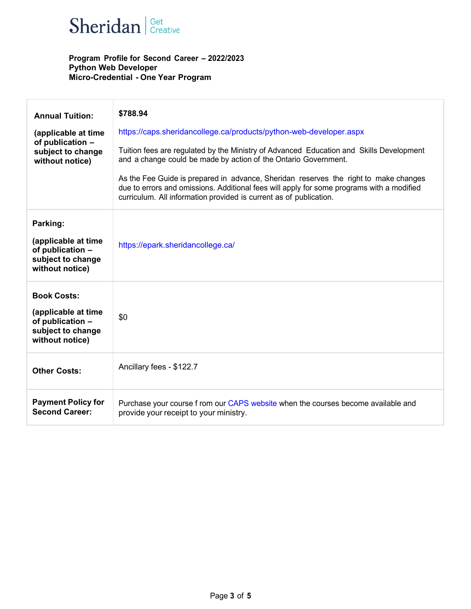

| <b>Annual Tuition:</b><br>(applicable at time<br>of publication -<br>subject to change<br>without notice) | \$788.94<br>https://caps.sheridancollege.ca/products/python-web-developer.aspx<br>Tuition fees are regulated by the Ministry of Advanced Education and Skills Development<br>and a change could be made by action of the Ontario Government.<br>As the Fee Guide is prepared in advance, Sheridan reserves the right to make changes<br>due to errors and omissions. Additional fees will apply for some programs with a modified<br>curriculum. All information provided is current as of publication. |
|-----------------------------------------------------------------------------------------------------------|---------------------------------------------------------------------------------------------------------------------------------------------------------------------------------------------------------------------------------------------------------------------------------------------------------------------------------------------------------------------------------------------------------------------------------------------------------------------------------------------------------|
| Parking:<br>(applicable at time<br>of publication -<br>subject to change<br>without notice)               | https://epark.sheridancollege.ca/                                                                                                                                                                                                                                                                                                                                                                                                                                                                       |
| <b>Book Costs:</b><br>(applicable at time<br>of publication -<br>subject to change<br>without notice)     | \$0                                                                                                                                                                                                                                                                                                                                                                                                                                                                                                     |
| <b>Other Costs:</b>                                                                                       | Ancillary fees - \$122.7                                                                                                                                                                                                                                                                                                                                                                                                                                                                                |
| <b>Payment Policy for</b><br><b>Second Career:</b>                                                        | Purchase your course f rom our CAPS website when the courses become available and<br>provide your receipt to your ministry.                                                                                                                                                                                                                                                                                                                                                                             |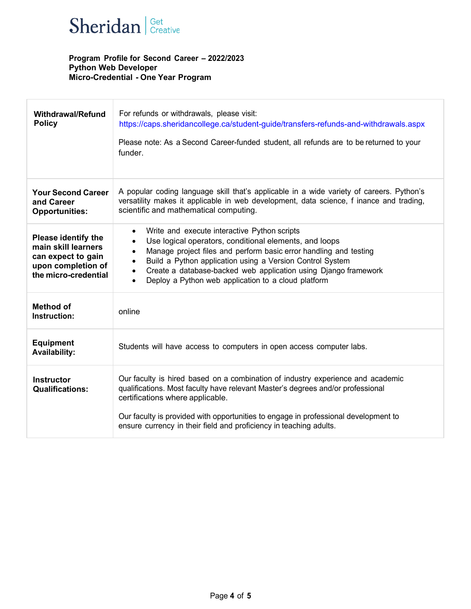

| <b>Withdrawal/Refund</b><br><b>Policy</b>                                                                             | For refunds or withdrawals, please visit:<br>https://caps.sheridancollege.ca/student-guide/transfers-refunds-and-withdrawals.aspx<br>Please note: As a Second Career-funded student, all refunds are to be returned to your<br>funder.                                                                                                                                                                                                           |
|-----------------------------------------------------------------------------------------------------------------------|--------------------------------------------------------------------------------------------------------------------------------------------------------------------------------------------------------------------------------------------------------------------------------------------------------------------------------------------------------------------------------------------------------------------------------------------------|
| <b>Your Second Career</b><br>and Career<br><b>Opportunities:</b>                                                      | A popular coding language skill that's applicable in a wide variety of careers. Python's<br>versatility makes it applicable in web development, data science, f inance and trading,<br>scientific and mathematical computing.                                                                                                                                                                                                                    |
| <b>Please identify the</b><br>main skill learners<br>can expect to gain<br>upon completion of<br>the micro-credential | Write and execute interactive Python scripts<br>$\bullet$<br>Use logical operators, conditional elements, and loops<br>$\bullet$<br>Manage project files and perform basic error handling and testing<br>$\bullet$<br>Build a Python application using a Version Control System<br>$\bullet$<br>Create a database-backed web application using Django framework<br>$\bullet$<br>Deploy a Python web application to a cloud platform<br>$\bullet$ |
| <b>Method of</b><br>Instruction:                                                                                      | online                                                                                                                                                                                                                                                                                                                                                                                                                                           |
| <b>Equipment</b><br><b>Availability:</b>                                                                              | Students will have access to computers in open access computer labs.                                                                                                                                                                                                                                                                                                                                                                             |
| <b>Instructor</b><br><b>Qualifications:</b>                                                                           | Our faculty is hired based on a combination of industry experience and academic<br>qualifications. Most faculty have relevant Master's degrees and/or professional<br>certifications where applicable.<br>Our faculty is provided with opportunities to engage in professional development to<br>ensure currency in their field and proficiency in teaching adults.                                                                              |